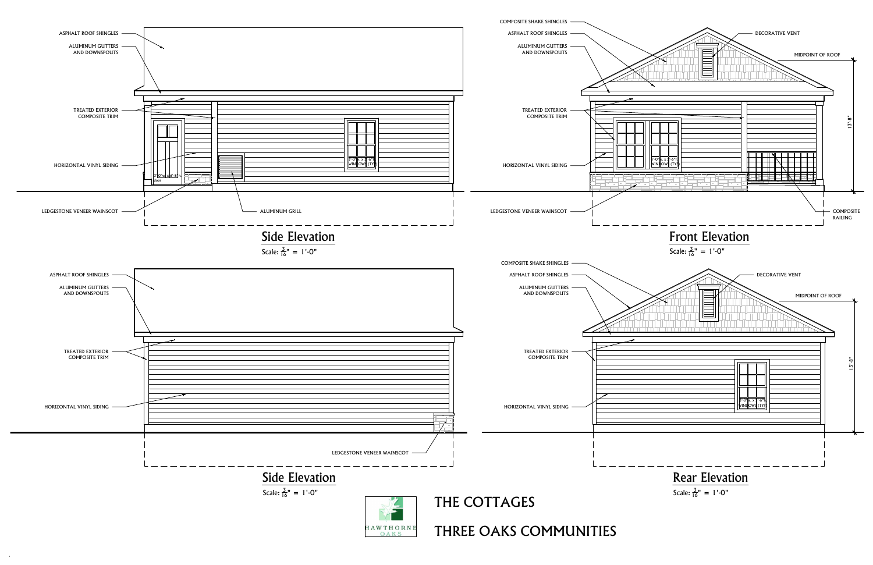